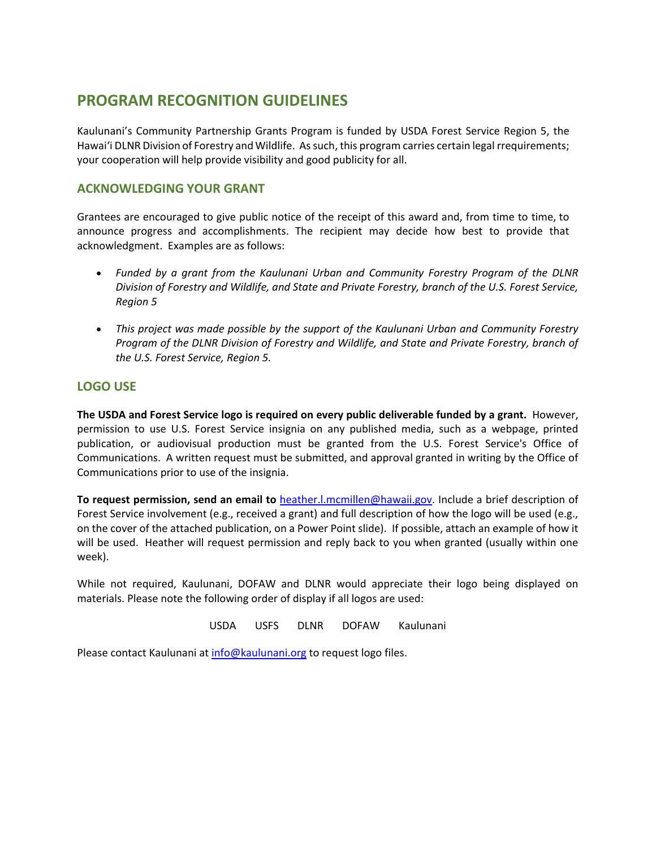# **PROGRAM RECOGNITION GUIDELINES**

Kaulunani's Community Partnership Grants Program is funded by USDA Forest Service Region 5, the Hawaiʻi DLNR Division of Forestry and Wildlife. As such, this program carries certain legal rrequirements; your cooperation will help provide visibility and good publicity for all.

# **ACKNOWLEDGING YOUR GRANT**

Grantees are encouraged to give public notice of the receipt of this award and, from time to time, to announce progress and accomplishments. The recipient may decide how best to provide that acknowledgment. Examples are as follows:

- *Funded by a grant from the Kaulunani Urban and Community Forestry Program of the DLNR Division of Forestry and Wildlife, and State and Private Forestry, branch of the U.S. Forest Service, Region 5*
- *This project was made possible by the support of the Kaulunani Urban and Community Forestry Program of the DLNR Division of Forestry and Wildlife, and State and Private Forestry, branch of the U.S. Forest Service, Region 5.*

## **LOGO USE**

**The USDA and Forest Service logo is required on every public deliverable funded by a grant.** However, permission to use U.S. Forest Service insignia on any published media, such as a webpage, printed publication, or audiovisual production must be granted from the U.S. Forest Service's Office of Communications. A written request must be submitted, and approval granted in writing by the Office of Communications prior to use of the insignia.

**To request permission, send an email to** [heather.l.mcmillen@hawaii.gov.](mailto:heather.l.mcmillen@hawaii.gov) Include a brief description of Forest Service involvement (e.g., received a grant) and full description of how the logo will be used (e.g., on the cover of the attached publication, on a Power Point slide). If possible, attach an example of how it will be used. Heather will request permission and reply back to you when granted (usually within one week).

While not required, Kaulunani, DOFAW and DLNR would appreciate their logo being displayed on materials. Please note the following order of display if all logos are used:

USDA USFS DLNR DOFAW Kaulunani

Please contact Kaulunani a[t info@kaulunani.org](mailto:info@kaulunani.org) to request logo files.